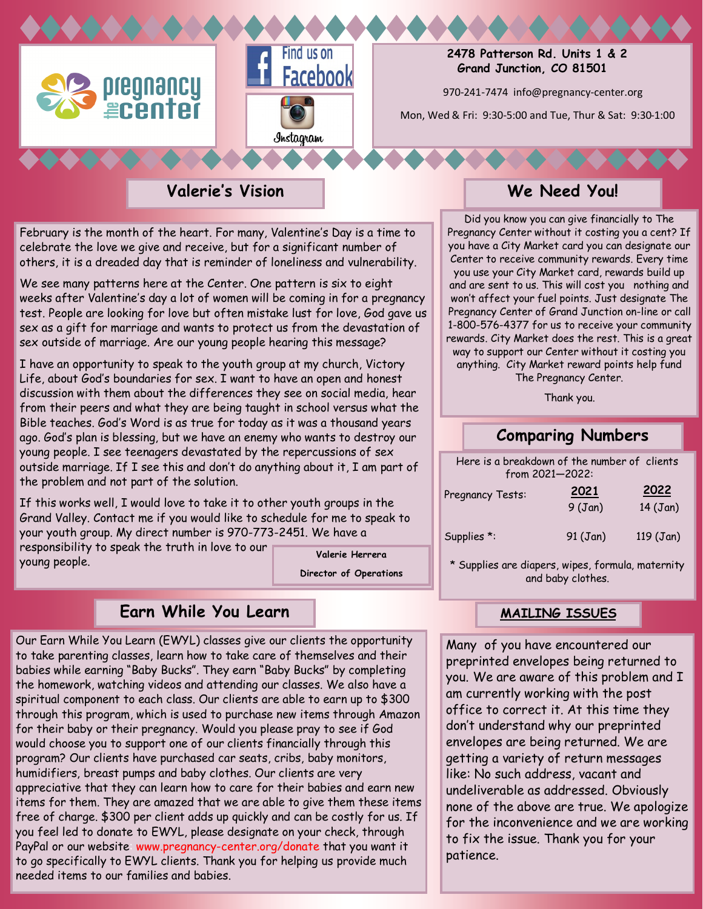

# **Valerie's Vision**

February is the month of the heart. For many, Valentine's Day is a time to celebrate the love we give and receive, but for a significant number of others, it is a dreaded day that is reminder of loneliness and vulnerability.

We see many patterns here at the Center. One pattern is six to eight weeks after Valentine's day a lot of women will be coming in for a pregnancy test. People are looking for love but often mistake lust for love, God gave us sex as a gift for marriage and wants to protect us from the devastation of sex outside of marriage. Are our young people hearing this message?

I have an opportunity to speak to the youth group at my church, Victory Life, about God's boundaries for sex. I want to have an open and honest discussion with them about the differences they see on social media, hear from their peers and what they are being taught in school versus what the Bible teaches. God's Word is as true for today as it was a thousand years ago. God's plan is blessing, but we have an enemy who wants to destroy our young people. I see teenagers devastated by the repercussions of sex outside marriage. If I see this and don't do anything about it, I am part of the problem and not part of the solution.

If this works well, I would love to take it to other youth groups in the Grand Valley. Contact me if you would like to schedule for me to speak to your youth group. My direct number is 970-773-2451. We have a responsibility to speak the truth in love to our

young people.

**Valerie Herrera** 

**Director of Operations**

# **Earn While You Learn**

Our Earn While You Learn (EWYL) classes give our clients the opportunity to take parenting classes, learn how to take care of themselves and their babies while earning "Baby Bucks". They earn "Baby Bucks" by completing the homework, watching videos and attending our classes. We also have a spiritual component to each class. Our clients are able to earn up to \$300 through this program, which is used to purchase new items through Amazon for their baby or their pregnancy. Would you please pray to see if God would choose you to support one of our clients financially through this program? Our clients have purchased car seats, cribs, baby monitors, humidifiers, breast pumps and baby clothes. Our clients are very appreciative that they can learn how to care for their babies and earn new items for them. They are amazed that we are able to give them these items free of charge. \$300 per client adds up quickly and can be costly for us. If you feel led to donate to EWYL, please designate on your check, through PayPal or our website www.pregnancy-center.org/donate that you want it to go specifically to EWYL clients. Thank you for helping us provide much needed items to our families and babies.

# **We Need You!**

Did you know you can give financially to The Pregnancy Center without it costing you a cent? If you have a City Market card you can designate our Center to receive community rewards. Every time you use your City Market card, rewards build up and are sent to us. This will cost you nothing and won't affect your fuel points. Just designate The Pregnancy Center of Grand Junction on-line or call 1-800-576-4377 for us to receive your community rewards. City Market does the rest. This is a great way to support our Center without it costing you anything. City Market reward points help fund The Pregnancy Center.

Thank you.

# **Comparing Numbers**

| Here is a breakdown of the number of clients<br>from 2021-2022: |                |                    |
|-----------------------------------------------------------------|----------------|--------------------|
| Pregnancy Tests:                                                | 2021<br>9(Jan) | 2022<br>$14$ (Jan) |
| Supplies *:                                                     | 91 (Jan)       | $119$ (Jan)        |

\* Supplies are diapers, wipes, formula, maternity and baby clothes.

### **MAILING ISSUES**

Many of you have encountered our preprinted envelopes being returned to you. We are aware of this problem and I am currently working with the post office to correct it. At this time they don't understand why our preprinted envelopes are being returned. We are getting a variety of return messages like: No such address, vacant and undeliverable as addressed. Obviously none of the above are true. We apologize for the inconvenience and we are working to fix the issue. Thank you for your patience.